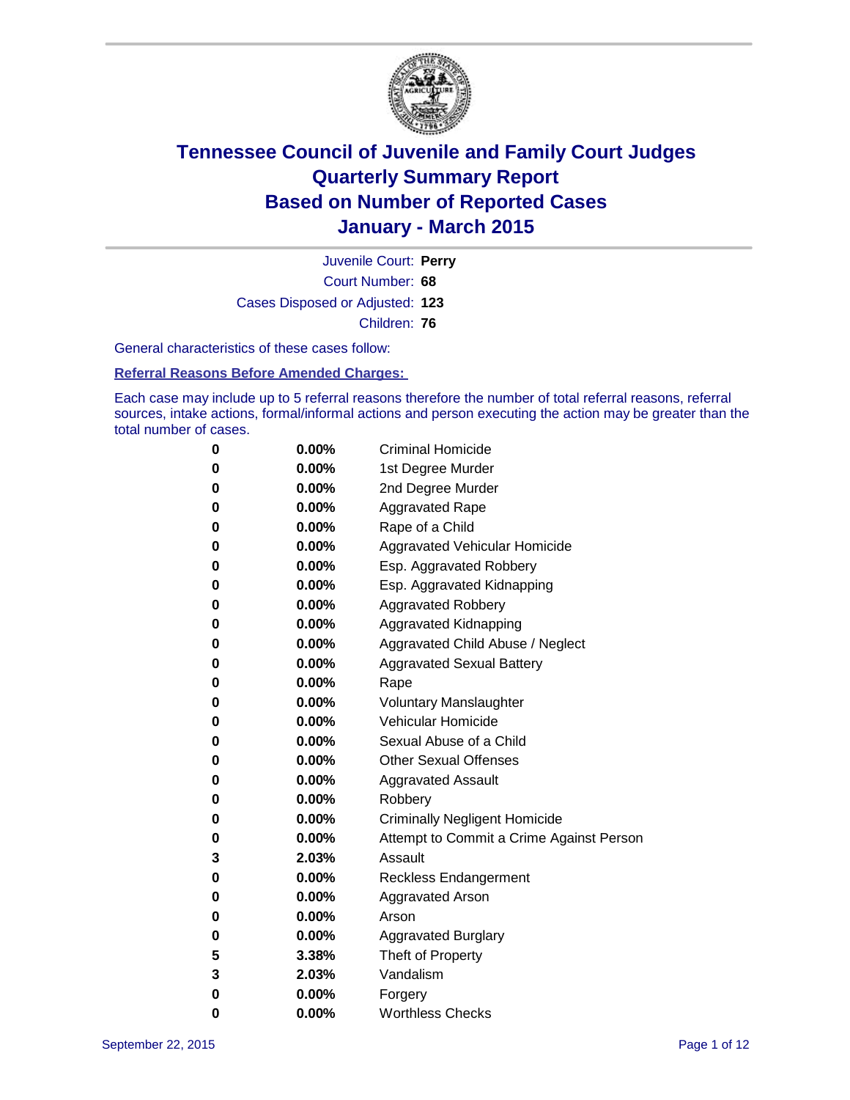

Court Number: **68** Juvenile Court: **Perry** Cases Disposed or Adjusted: **123** Children: **76**

General characteristics of these cases follow:

**Referral Reasons Before Amended Charges:** 

Each case may include up to 5 referral reasons therefore the number of total referral reasons, referral sources, intake actions, formal/informal actions and person executing the action may be greater than the total number of cases.

| 0        | $0.00\%$ | <b>Criminal Homicide</b>                 |
|----------|----------|------------------------------------------|
| 0        | $0.00\%$ | 1st Degree Murder                        |
| $\bf{0}$ | $0.00\%$ | 2nd Degree Murder                        |
| 0        | $0.00\%$ | <b>Aggravated Rape</b>                   |
| 0        | $0.00\%$ | Rape of a Child                          |
| 0        | $0.00\%$ | Aggravated Vehicular Homicide            |
| 0        | $0.00\%$ | Esp. Aggravated Robbery                  |
| 0        | $0.00\%$ | Esp. Aggravated Kidnapping               |
| $\bf{0}$ | $0.00\%$ | <b>Aggravated Robbery</b>                |
| $\bf{0}$ | $0.00\%$ | <b>Aggravated Kidnapping</b>             |
| 0        | 0.00%    | Aggravated Child Abuse / Neglect         |
| 0        | $0.00\%$ | <b>Aggravated Sexual Battery</b>         |
| $\bf{0}$ | $0.00\%$ | Rape                                     |
| 0        | $0.00\%$ | <b>Voluntary Manslaughter</b>            |
| 0        | $0.00\%$ | <b>Vehicular Homicide</b>                |
| $\bf{0}$ | $0.00\%$ | Sexual Abuse of a Child                  |
| $\bf{0}$ | $0.00\%$ | <b>Other Sexual Offenses</b>             |
| 0        | $0.00\%$ | <b>Aggravated Assault</b>                |
| 0        | $0.00\%$ | Robbery                                  |
| $\bf{0}$ | $0.00\%$ | <b>Criminally Negligent Homicide</b>     |
| 0        | $0.00\%$ | Attempt to Commit a Crime Against Person |
| 3        | 2.03%    | Assault                                  |
| 0        | 0.00%    | <b>Reckless Endangerment</b>             |
| 0        | $0.00\%$ | <b>Aggravated Arson</b>                  |
| 0        | $0.00\%$ | Arson                                    |
| 0        | $0.00\%$ | <b>Aggravated Burglary</b>               |
| 5        | 3.38%    | Theft of Property                        |
| 3        | 2.03%    | Vandalism                                |
| 0        | $0.00\%$ | Forgery                                  |
| 0        | $0.00\%$ | <b>Worthless Checks</b>                  |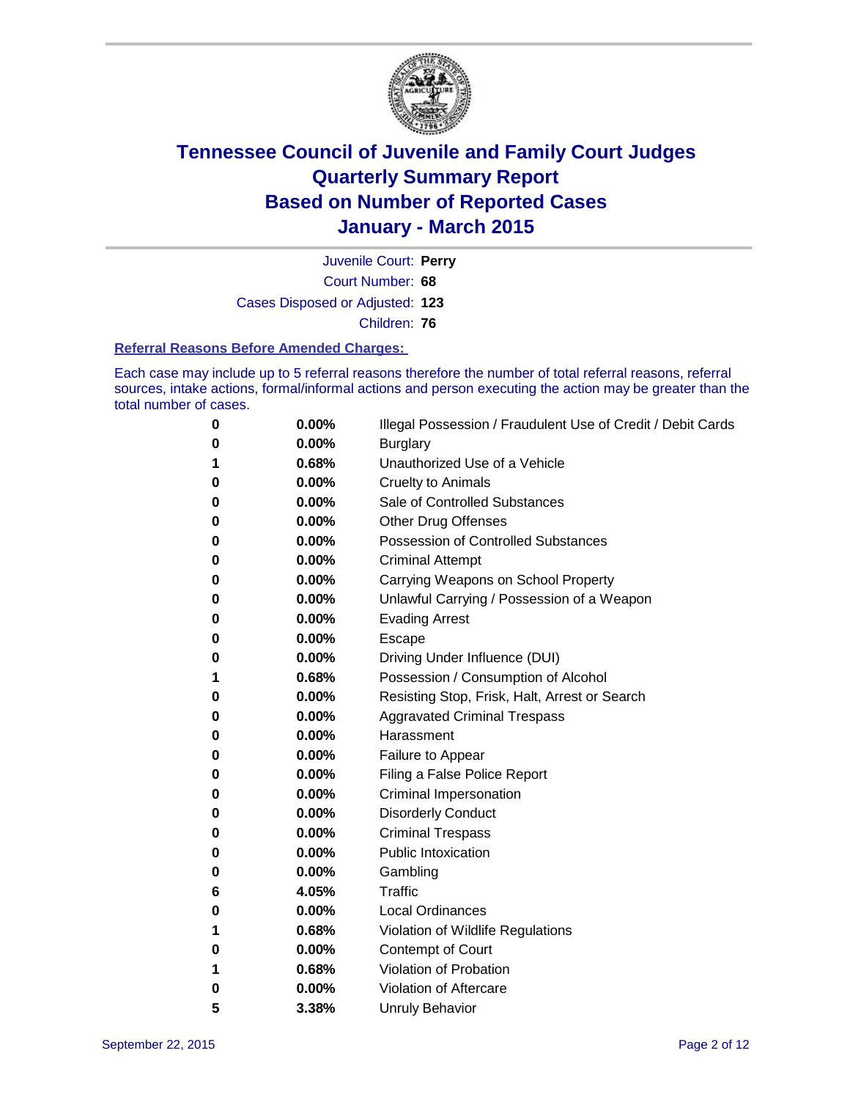

Court Number: **68** Juvenile Court: **Perry** Cases Disposed or Adjusted: **123** Children: **76**

#### **Referral Reasons Before Amended Charges:**

Each case may include up to 5 referral reasons therefore the number of total referral reasons, referral sources, intake actions, formal/informal actions and person executing the action may be greater than the total number of cases.

| 0 | 0.00% | Illegal Possession / Fraudulent Use of Credit / Debit Cards |
|---|-------|-------------------------------------------------------------|
| 0 | 0.00% | <b>Burglary</b>                                             |
| 1 | 0.68% | Unauthorized Use of a Vehicle                               |
| 0 | 0.00% | Cruelty to Animals                                          |
| 0 | 0.00% | Sale of Controlled Substances                               |
| 0 | 0.00% | Other Drug Offenses                                         |
| 0 | 0.00% | <b>Possession of Controlled Substances</b>                  |
| 0 | 0.00% | <b>Criminal Attempt</b>                                     |
| 0 | 0.00% | Carrying Weapons on School Property                         |
| 0 | 0.00% | Unlawful Carrying / Possession of a Weapon                  |
| 0 | 0.00% | <b>Evading Arrest</b>                                       |
| 0 | 0.00% | Escape                                                      |
| 0 | 0.00% | Driving Under Influence (DUI)                               |
| 1 | 0.68% | Possession / Consumption of Alcohol                         |
| 0 | 0.00% | Resisting Stop, Frisk, Halt, Arrest or Search               |
| 0 | 0.00% | <b>Aggravated Criminal Trespass</b>                         |
| 0 | 0.00% | Harassment                                                  |
| 0 | 0.00% | Failure to Appear                                           |
| 0 | 0.00% | Filing a False Police Report                                |
| 0 | 0.00% | <b>Criminal Impersonation</b>                               |
| 0 | 0.00% | <b>Disorderly Conduct</b>                                   |
| 0 | 0.00% | <b>Criminal Trespass</b>                                    |
| 0 | 0.00% | <b>Public Intoxication</b>                                  |
| 0 | 0.00% | Gambling                                                    |
| 6 | 4.05% | <b>Traffic</b>                                              |
| 0 | 0.00% | <b>Local Ordinances</b>                                     |
| 1 | 0.68% | Violation of Wildlife Regulations                           |
| 0 | 0.00% | Contempt of Court                                           |
| 1 | 0.68% | Violation of Probation                                      |
| 0 | 0.00% | Violation of Aftercare                                      |
| 5 | 3.38% | <b>Unruly Behavior</b>                                      |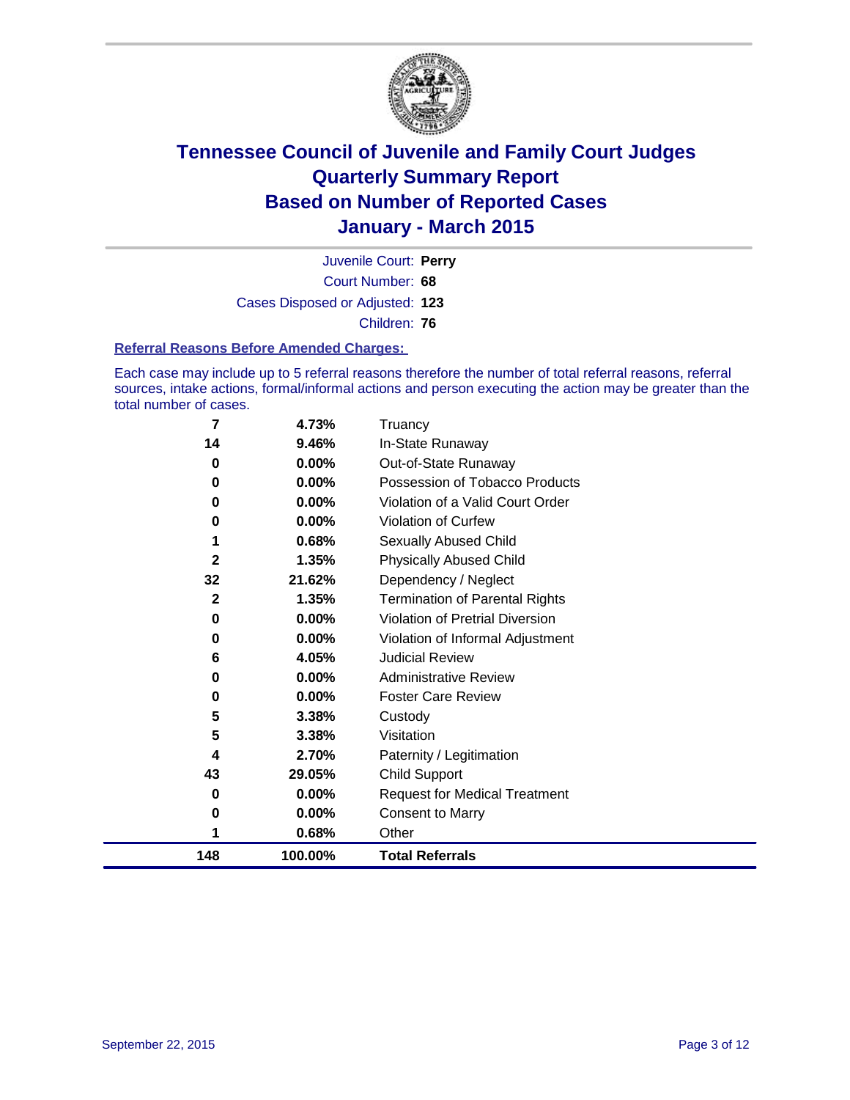

Court Number: **68** Juvenile Court: **Perry** Cases Disposed or Adjusted: **123** Children: **76**

#### **Referral Reasons Before Amended Charges:**

Each case may include up to 5 referral reasons therefore the number of total referral reasons, referral sources, intake actions, formal/informal actions and person executing the action may be greater than the total number of cases.

| 7            | 4.73%    | Truancy                                |
|--------------|----------|----------------------------------------|
| 14           | 9.46%    | In-State Runaway                       |
| 0            | 0.00%    | Out-of-State Runaway                   |
| 0            | 0.00%    | Possession of Tobacco Products         |
| 0            | 0.00%    | Violation of a Valid Court Order       |
| 0            | 0.00%    | <b>Violation of Curfew</b>             |
| 1            | 0.68%    | <b>Sexually Abused Child</b>           |
| $\mathbf{2}$ | 1.35%    | <b>Physically Abused Child</b>         |
| 32           | 21.62%   | Dependency / Neglect                   |
| $\mathbf{2}$ | 1.35%    | <b>Termination of Parental Rights</b>  |
| 0            | $0.00\%$ | <b>Violation of Pretrial Diversion</b> |
| 0            | 0.00%    | Violation of Informal Adjustment       |
| 6            | 4.05%    | <b>Judicial Review</b>                 |
| 0            | 0.00%    | <b>Administrative Review</b>           |
| 0            | $0.00\%$ | <b>Foster Care Review</b>              |
| 5            | 3.38%    | Custody                                |
| 5            | 3.38%    | Visitation                             |
| 4            | 2.70%    | Paternity / Legitimation               |
| 43           | 29.05%   | <b>Child Support</b>                   |
| 0            | 0.00%    | <b>Request for Medical Treatment</b>   |
| 0            | 0.00%    | <b>Consent to Marry</b>                |
|              | 0.68%    | Other                                  |
| 148          | 100.00%  | <b>Total Referrals</b>                 |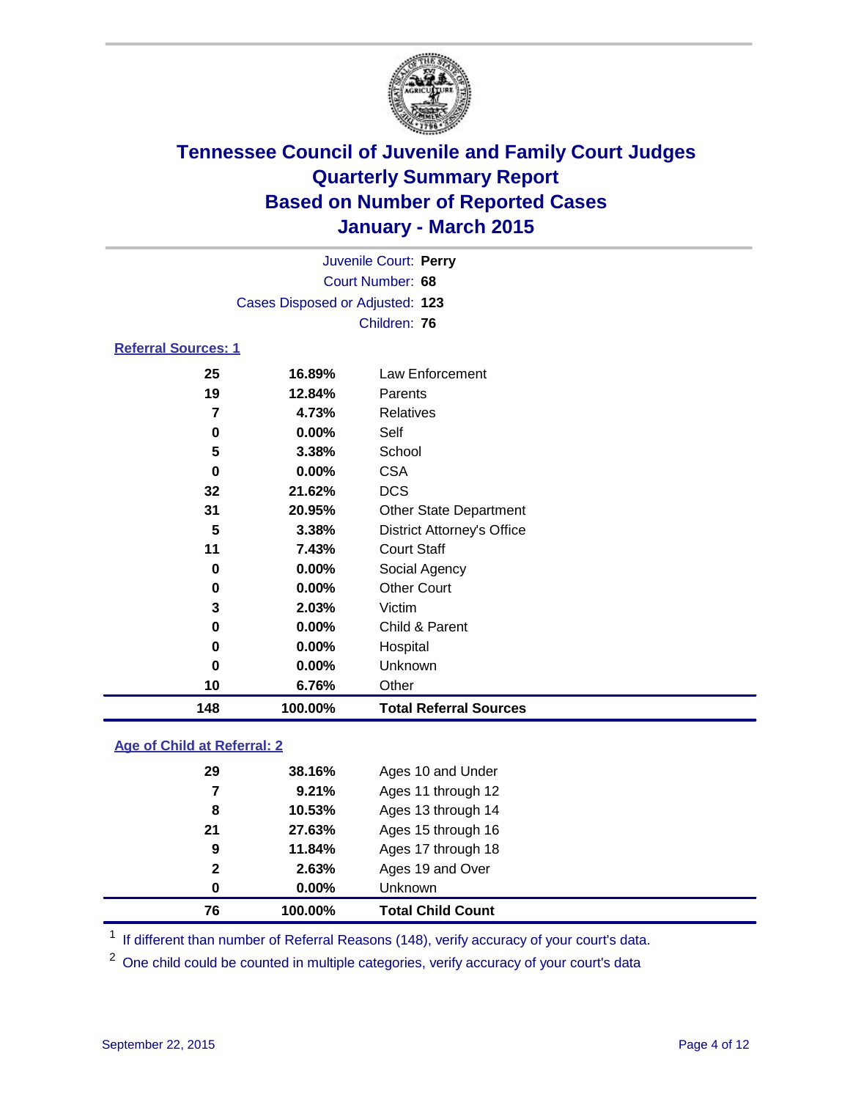

|                                 | Juvenile Court: Perry |                 |  |  |  |
|---------------------------------|-----------------------|-----------------|--|--|--|
|                                 | Court Number: 68      |                 |  |  |  |
| Cases Disposed or Adjusted: 123 |                       |                 |  |  |  |
| Children: 76                    |                       |                 |  |  |  |
| <b>Referral Sources: 1</b>      |                       |                 |  |  |  |
| 25                              | 16.89%                | Law Enforcement |  |  |  |

| 148 | 100.00%   | <b>Total Referral Sources</b>     |
|-----|-----------|-----------------------------------|
| 10  | 6.76%     | Other                             |
| 0   | 0.00%     | Unknown                           |
| 0   | 0.00%     | Hospital                          |
| 0   | $0.00\%$  | Child & Parent                    |
| 3   | 2.03%     | Victim                            |
| 0   | $0.00\%$  | <b>Other Court</b>                |
| 0   | $0.00\%$  | Social Agency                     |
| 11  | 7.43%     | <b>Court Staff</b>                |
| 5   | 3.38%     | <b>District Attorney's Office</b> |
| 31  | 20.95%    | <b>Other State Department</b>     |
| 32  | 21.62%    | <b>DCS</b>                        |
| 0   | $0.00\%$  | <b>CSA</b>                        |
| 5   | 3.38%     | School                            |
| 0   | $0.00\%$  | Self                              |
| 7   | 4.73%     | Relatives                         |
| 19  | 12.84%    | Parents                           |
| Lυ  | 1 V.VJ 70 | LAW LIIIUIUUIIIGIIL               |

### **Age of Child at Referral: 2**

| $\mathbf{2}$<br>0 | 2.63%<br>$0.00\%$ | Ages 19 and Over<br><b>Unknown</b> |
|-------------------|-------------------|------------------------------------|
|                   |                   |                                    |
|                   |                   |                                    |
| 9                 | 11.84%            | Ages 17 through 18                 |
| 21                | 27.63%            | Ages 15 through 16                 |
| 8                 | 10.53%            | Ages 13 through 14                 |
| 7                 | 9.21%             | Ages 11 through 12                 |
| 29                | 38.16%            | Ages 10 and Under                  |
|                   |                   |                                    |

<sup>1</sup> If different than number of Referral Reasons (148), verify accuracy of your court's data.

One child could be counted in multiple categories, verify accuracy of your court's data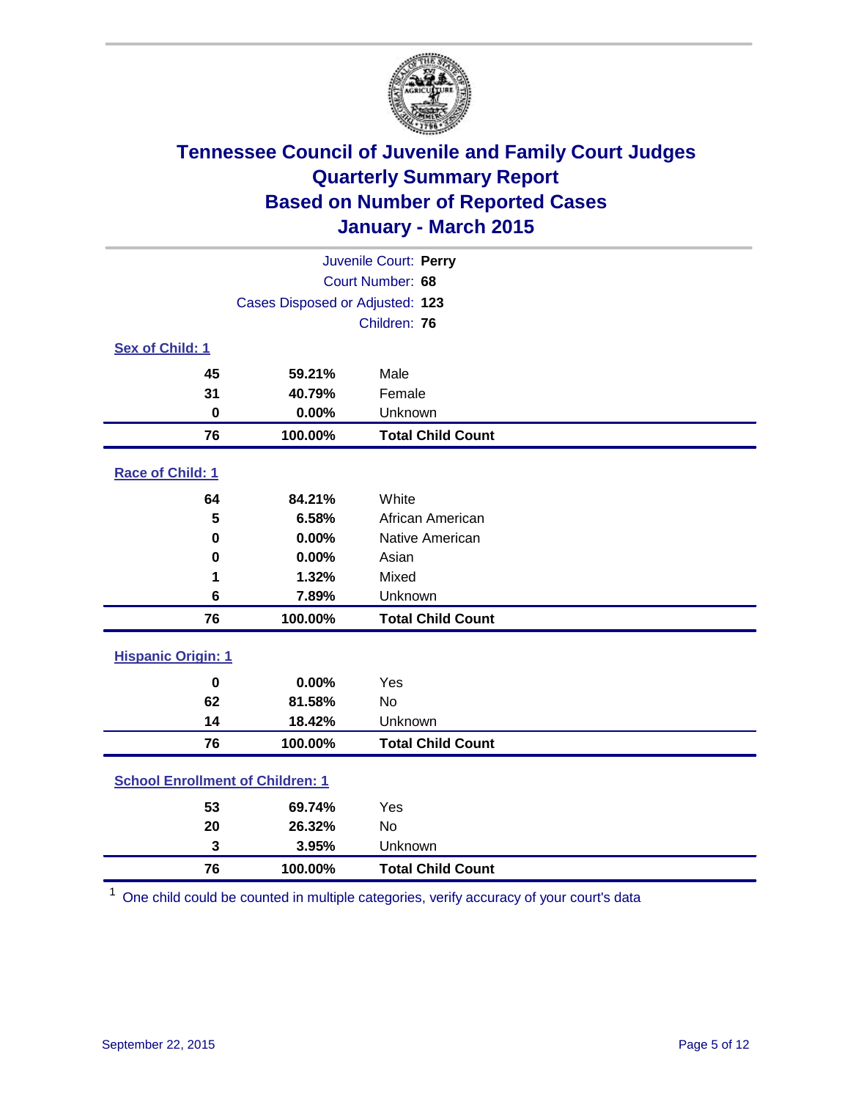

|                                         |                                 | Juvenile Court: Perry    |  |  |  |
|-----------------------------------------|---------------------------------|--------------------------|--|--|--|
| Court Number: 68                        |                                 |                          |  |  |  |
|                                         | Cases Disposed or Adjusted: 123 |                          |  |  |  |
|                                         |                                 | Children: 76             |  |  |  |
| Sex of Child: 1                         |                                 |                          |  |  |  |
| 45                                      | 59.21%                          | Male                     |  |  |  |
| 31                                      | 40.79%                          | Female                   |  |  |  |
| 0                                       | 0.00%                           | Unknown                  |  |  |  |
| 76                                      | 100.00%                         | <b>Total Child Count</b> |  |  |  |
| Race of Child: 1                        |                                 |                          |  |  |  |
| 64                                      | 84.21%                          | White                    |  |  |  |
| 5                                       | 6.58%                           | African American         |  |  |  |
| $\bf{0}$                                | 0.00%                           | Native American          |  |  |  |
| 0                                       | 0.00%                           | Asian                    |  |  |  |
| 1                                       | 1.32%                           | Mixed                    |  |  |  |
| 6                                       | 7.89%                           | Unknown                  |  |  |  |
| 76                                      | 100.00%                         | <b>Total Child Count</b> |  |  |  |
| <b>Hispanic Origin: 1</b>               |                                 |                          |  |  |  |
| $\bf{0}$                                | 0.00%                           | Yes                      |  |  |  |
| 62                                      | 81.58%                          | <b>No</b>                |  |  |  |
| 14                                      | 18.42%                          | Unknown                  |  |  |  |
| 76                                      | 100.00%                         | <b>Total Child Count</b> |  |  |  |
| <b>School Enrollment of Children: 1</b> |                                 |                          |  |  |  |
| 53                                      | 69.74%                          | Yes                      |  |  |  |
| 20                                      | 26.32%                          | No                       |  |  |  |
| 3                                       | 3.95%                           | Unknown                  |  |  |  |
| 76                                      | 100.00%                         | <b>Total Child Count</b> |  |  |  |

One child could be counted in multiple categories, verify accuracy of your court's data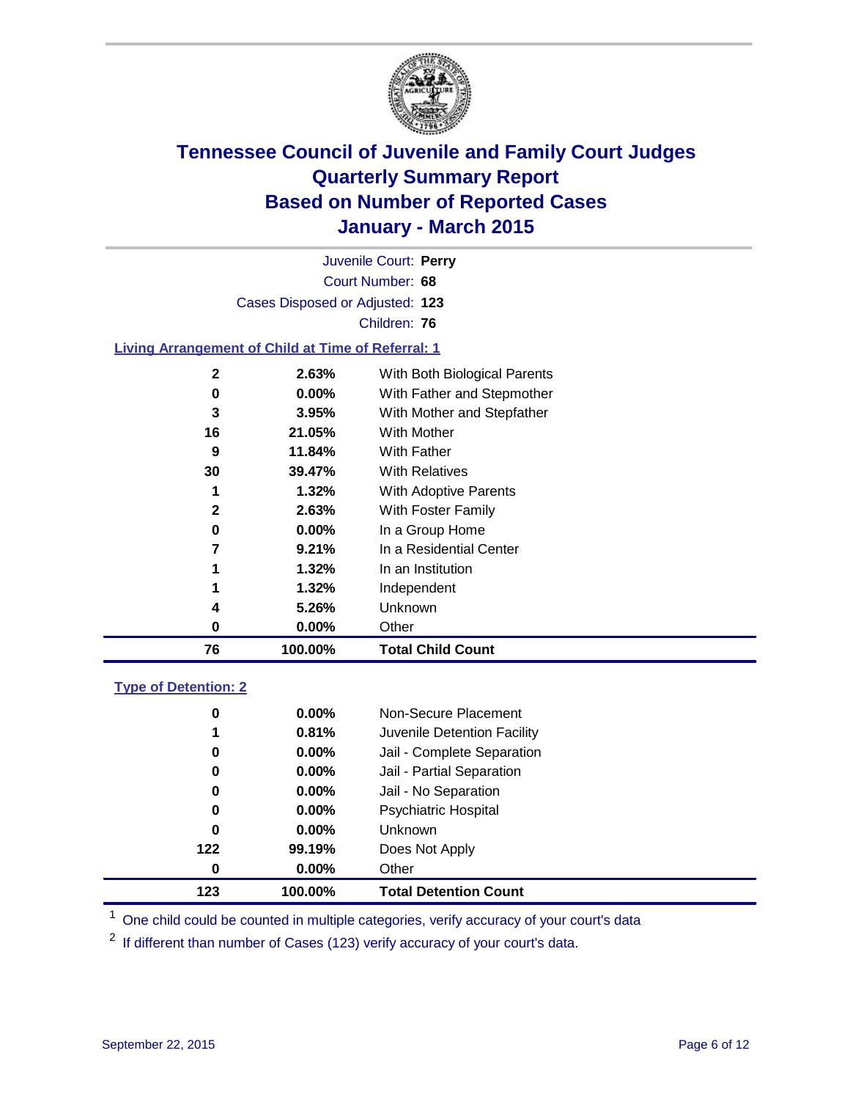

|    |                                                    | Juvenile Court: Perry        |
|----|----------------------------------------------------|------------------------------|
|    |                                                    | Court Number: 68             |
|    | Cases Disposed or Adjusted: 123                    |                              |
|    |                                                    | Children: 76                 |
|    | Living Arrangement of Child at Time of Referral: 1 |                              |
| 2  | 2.63%                                              | With Both Biological Parents |
| 0  | $0.00\%$                                           | With Father and Stepmother   |
| 3  | $3.95\%$                                           | With Mother and Stepfather   |
| 16 | 21.05%                                             | With Mother                  |
|    |                                                    |                              |

| 76           | 100.00%  | <b>Total Child Count</b> |
|--------------|----------|--------------------------|
| 0            | $0.00\%$ | Other                    |
| 4            | 5.26%    | <b>Unknown</b>           |
| 1            | 1.32%    | Independent              |
|              | 1.32%    | In an Institution        |
| 7            | 9.21%    | In a Residential Center  |
| 0            | $0.00\%$ | In a Group Home          |
| $\mathbf{2}$ | 2.63%    | With Foster Family       |
|              | 1.32%    | With Adoptive Parents    |
| 30           | 39.47%   | <b>With Relatives</b>    |
| 9            | 11.84%   | With Father              |

### **Type of Detention: 2**

| 0   | $0.00\%$ | Non-Secure Placement         |
|-----|----------|------------------------------|
| 1   | 0.81%    | Juvenile Detention Facility  |
| 0   | $0.00\%$ | Jail - Complete Separation   |
| 0   | $0.00\%$ | Jail - Partial Separation    |
| 0   | $0.00\%$ | Jail - No Separation         |
| 0   | $0.00\%$ | <b>Psychiatric Hospital</b>  |
| 0   | $0.00\%$ | <b>Unknown</b>               |
| 122 | 99.19%   | Does Not Apply               |
| 0   | $0.00\%$ | Other                        |
| 123 | 100.00%  | <b>Total Detention Count</b> |

<sup>1</sup> One child could be counted in multiple categories, verify accuracy of your court's data

If different than number of Cases (123) verify accuracy of your court's data.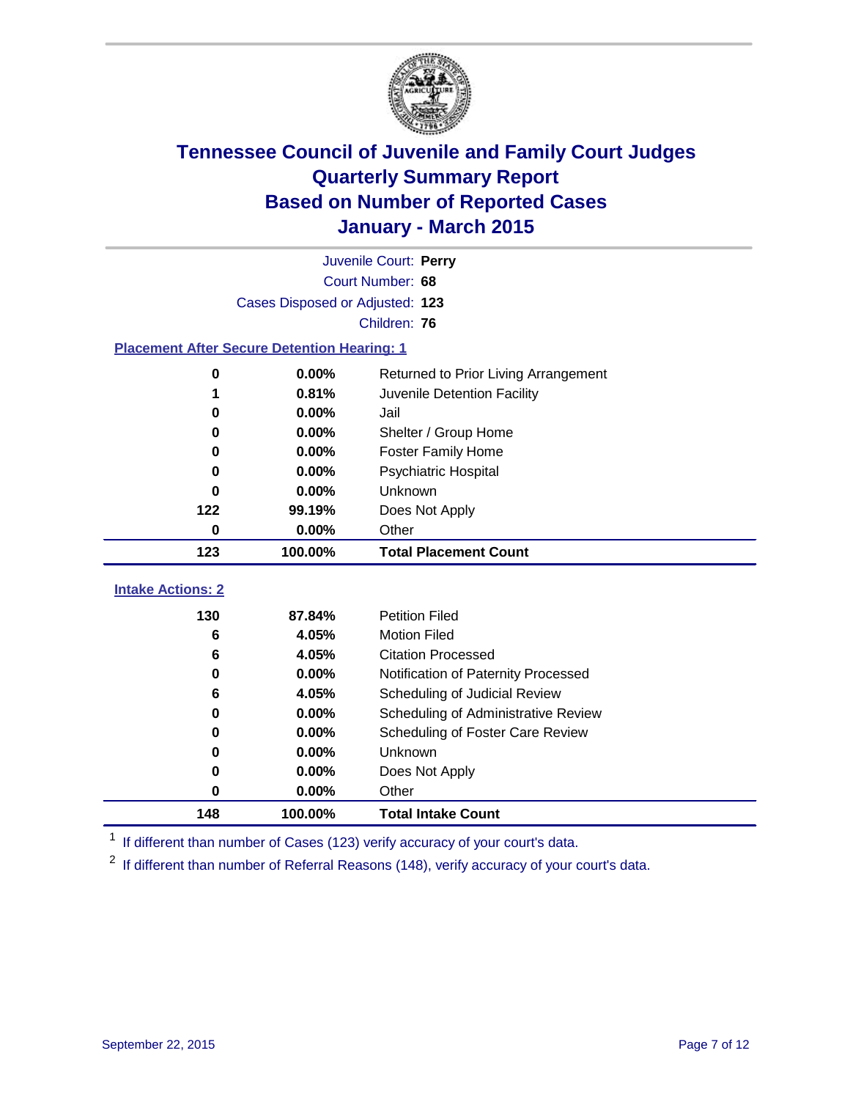

|                                                    |          | Juvenile Court: Perry                   |  |  |
|----------------------------------------------------|----------|-----------------------------------------|--|--|
| Court Number: 68                                   |          |                                         |  |  |
| Cases Disposed or Adjusted: 123                    |          |                                         |  |  |
|                                                    |          | Children: 76                            |  |  |
| <b>Placement After Secure Detention Hearing: 1</b> |          |                                         |  |  |
| 0                                                  | 0.00%    | Returned to Prior Living Arrangement    |  |  |
| 1                                                  | 0.81%    | Juvenile Detention Facility             |  |  |
| 0                                                  | 0.00%    | Jail                                    |  |  |
| 0                                                  | 0.00%    | Shelter / Group Home                    |  |  |
| 0                                                  | $0.00\%$ | <b>Foster Family Home</b>               |  |  |
| 0                                                  | 0.00%    | <b>Psychiatric Hospital</b>             |  |  |
| 0                                                  | 0.00%    | Unknown                                 |  |  |
| 122                                                | 99.19%   | Does Not Apply                          |  |  |
| $\bf{0}$                                           | 0.00%    | Other                                   |  |  |
| 123                                                | 100.00%  | <b>Total Placement Count</b>            |  |  |
| <b>Intake Actions: 2</b>                           |          |                                         |  |  |
| 130                                                | 87.84%   | <b>Petition Filed</b>                   |  |  |
| 6                                                  | 4.05%    | <b>Motion Filed</b>                     |  |  |
| 6                                                  | 4.05%    | <b>Citation Processed</b>               |  |  |
| 0                                                  | 0.00%    | Notification of Paternity Processed     |  |  |
| 6                                                  | 4.05%    | Scheduling of Judicial Review           |  |  |
| 0                                                  | 0.00%    | Scheduling of Administrative Review     |  |  |
| 0                                                  | 0.00%    | <b>Scheduling of Foster Care Review</b> |  |  |
| 0                                                  | 0.00%    | Unknown                                 |  |  |
| 0                                                  | 0.00%    | Does Not Apply                          |  |  |
| 0                                                  | 0.00%    | Other                                   |  |  |
| 148                                                | 100.00%  | <b>Total Intake Count</b>               |  |  |

<sup>1</sup> If different than number of Cases (123) verify accuracy of your court's data.

If different than number of Referral Reasons (148), verify accuracy of your court's data.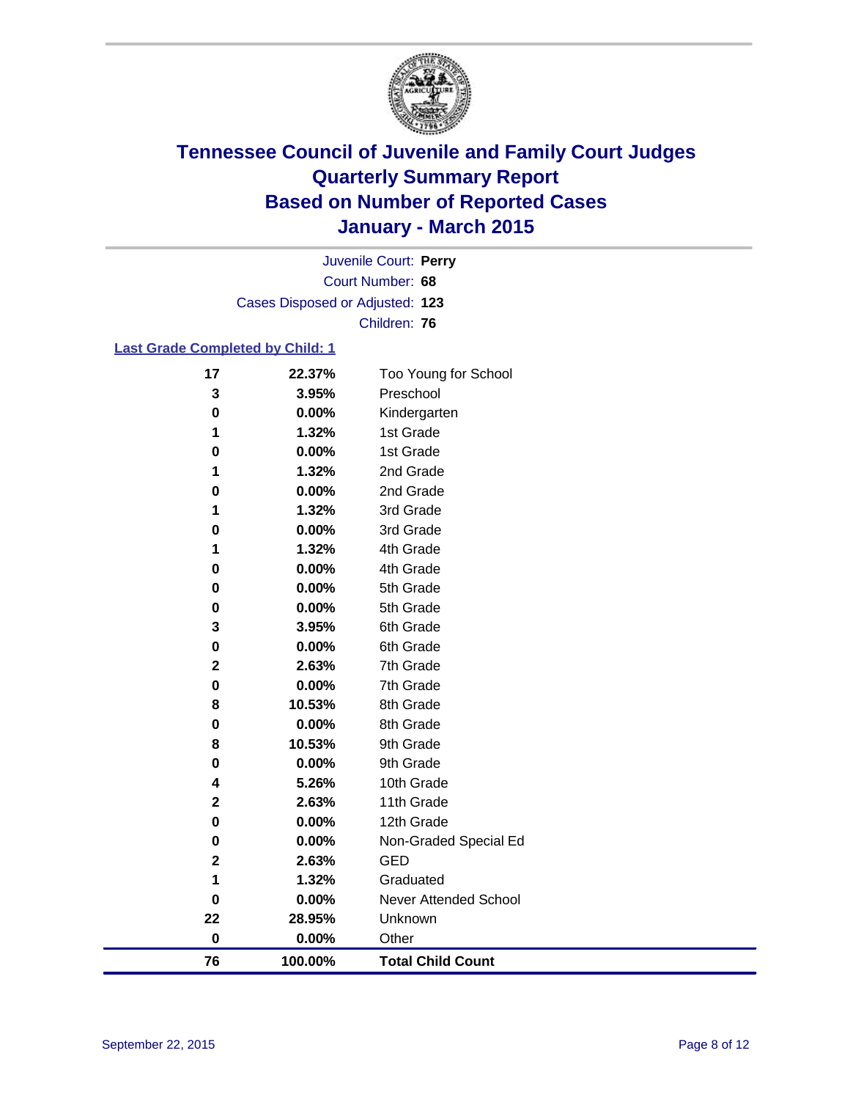

Court Number: **68** Juvenile Court: **Perry** Cases Disposed or Adjusted: **123** Children: **76**

### **Last Grade Completed by Child: 1**

| 76          | 100.00%        | <b>Total Child Count</b> |  |
|-------------|----------------|--------------------------|--|
| $\pmb{0}$   | 0.00%          | Other                    |  |
| 22          | 28.95%         | Unknown                  |  |
| 0           | 0.00%          | Never Attended School    |  |
| 1           | 1.32%          | Graduated                |  |
| $\mathbf 2$ | 2.63%          | <b>GED</b>               |  |
| 0           | 0.00%          | Non-Graded Special Ed    |  |
| 0           | 0.00%          | 12th Grade               |  |
| $\mathbf 2$ | 2.63%          | 11th Grade               |  |
| 4           | 5.26%          | 10th Grade               |  |
| 0           | 0.00%          | 9th Grade                |  |
| 8           | 10.53%         | 9th Grade                |  |
| 0           | 0.00%          | 8th Grade                |  |
| 8           | 10.53%         | 8th Grade                |  |
| $\pmb{0}$   | 0.00%          | 7th Grade                |  |
| $\mathbf 2$ | 2.63%          | 7th Grade                |  |
| 0           | $0.00\%$       | 6th Grade                |  |
| 3           | 3.95%          | 6th Grade                |  |
| 0           | 0.00%          | 5th Grade                |  |
| $\bf{0}$    | 0.00%          | 5th Grade                |  |
| 0           | 0.00%          | 4th Grade                |  |
| 1           | 1.32%          | 4th Grade                |  |
| 0           | 0.00%          | 3rd Grade                |  |
| 1           | 1.32%          | 3rd Grade                |  |
| $\bf{0}$    | 0.00%          | 2nd Grade                |  |
| 0<br>1      | 0.00%<br>1.32% | 2nd Grade                |  |
| 1           | 1.32%          | 1st Grade<br>1st Grade   |  |
| $\bf{0}$    | 0.00%          | Kindergarten             |  |
| 3           | 3.95%          | Preschool                |  |
| 17          | 22.37%         | Too Young for School     |  |
|             |                |                          |  |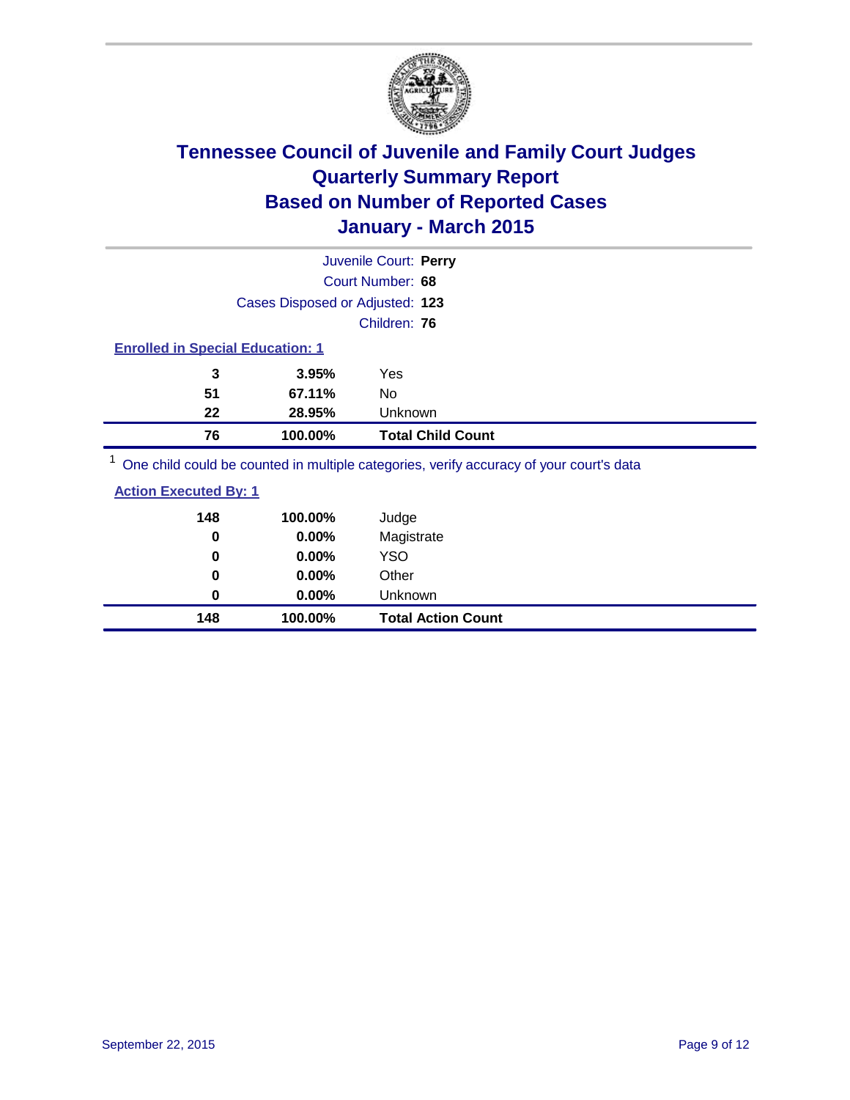

|                                         |                                 | Juvenile Court: Perry                                                                                           |  |
|-----------------------------------------|---------------------------------|-----------------------------------------------------------------------------------------------------------------|--|
|                                         |                                 | Court Number: 68                                                                                                |  |
|                                         | Cases Disposed or Adjusted: 123 |                                                                                                                 |  |
|                                         |                                 | Children: 76                                                                                                    |  |
| <b>Enrolled in Special Education: 1</b> |                                 |                                                                                                                 |  |
| 3                                       | 3.95%                           | Yes                                                                                                             |  |
| 51                                      | 67.11%                          | No                                                                                                              |  |
| 22                                      | 28.95%                          | Unknown                                                                                                         |  |
| 76                                      | 100.00%                         | <b>Total Child Count</b>                                                                                        |  |
| $1 -$                                   |                                 | the contract of the contract of the contract of the contract of the contract of the contract of the contract of |  |

<sup>1</sup> One child could be counted in multiple categories, verify accuracy of your court's data

| <b>Action Executed By: 1</b> |  |
|------------------------------|--|
|                              |  |

| 148      | 100.00%  | Judge                     |
|----------|----------|---------------------------|
| $\bf{0}$ | 0.00%    | Magistrate                |
| 0        | 0.00%    | <b>YSO</b>                |
| 0        | 0.00%    | Other                     |
| 0        | $0.00\%$ | Unknown                   |
| 148      | 100.00%  | <b>Total Action Count</b> |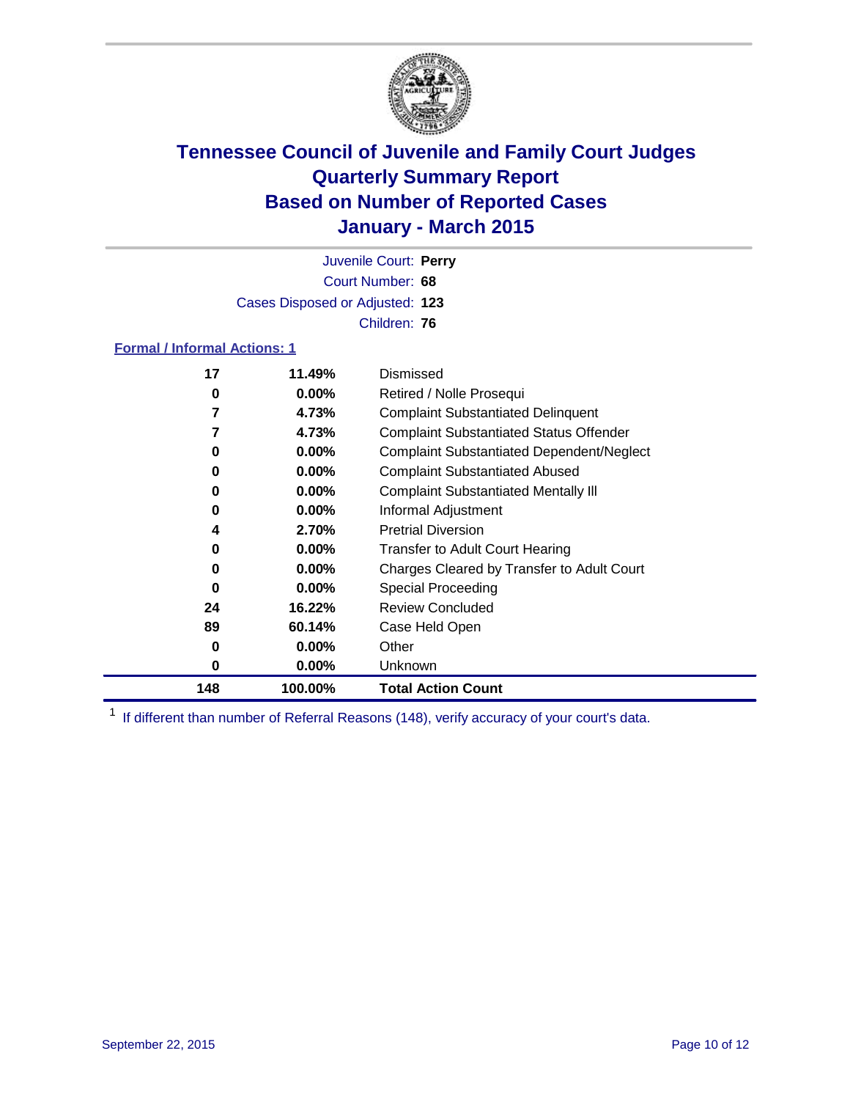

Court Number: **68** Juvenile Court: **Perry** Cases Disposed or Adjusted: **123** Children: **76**

#### **Formal / Informal Actions: 1**

| 17  | 11.49%   | Dismissed                                        |
|-----|----------|--------------------------------------------------|
| 0   | $0.00\%$ | Retired / Nolle Prosequi                         |
| 7   | 4.73%    | <b>Complaint Substantiated Delinguent</b>        |
| 7   | 4.73%    | <b>Complaint Substantiated Status Offender</b>   |
| 0   | $0.00\%$ | <b>Complaint Substantiated Dependent/Neglect</b> |
| 0   | $0.00\%$ | <b>Complaint Substantiated Abused</b>            |
| 0   | $0.00\%$ | <b>Complaint Substantiated Mentally III</b>      |
| 0   | $0.00\%$ | Informal Adjustment                              |
| 4   | 2.70%    | <b>Pretrial Diversion</b>                        |
| 0   | $0.00\%$ | <b>Transfer to Adult Court Hearing</b>           |
| 0   | $0.00\%$ | Charges Cleared by Transfer to Adult Court       |
| 0   | $0.00\%$ | Special Proceeding                               |
| 24  | 16.22%   | <b>Review Concluded</b>                          |
| 89  | 60.14%   | Case Held Open                                   |
| 0   | $0.00\%$ | Other                                            |
| 0   | $0.00\%$ | Unknown                                          |
| 148 | 100.00%  | <b>Total Action Count</b>                        |

<sup>1</sup> If different than number of Referral Reasons (148), verify accuracy of your court's data.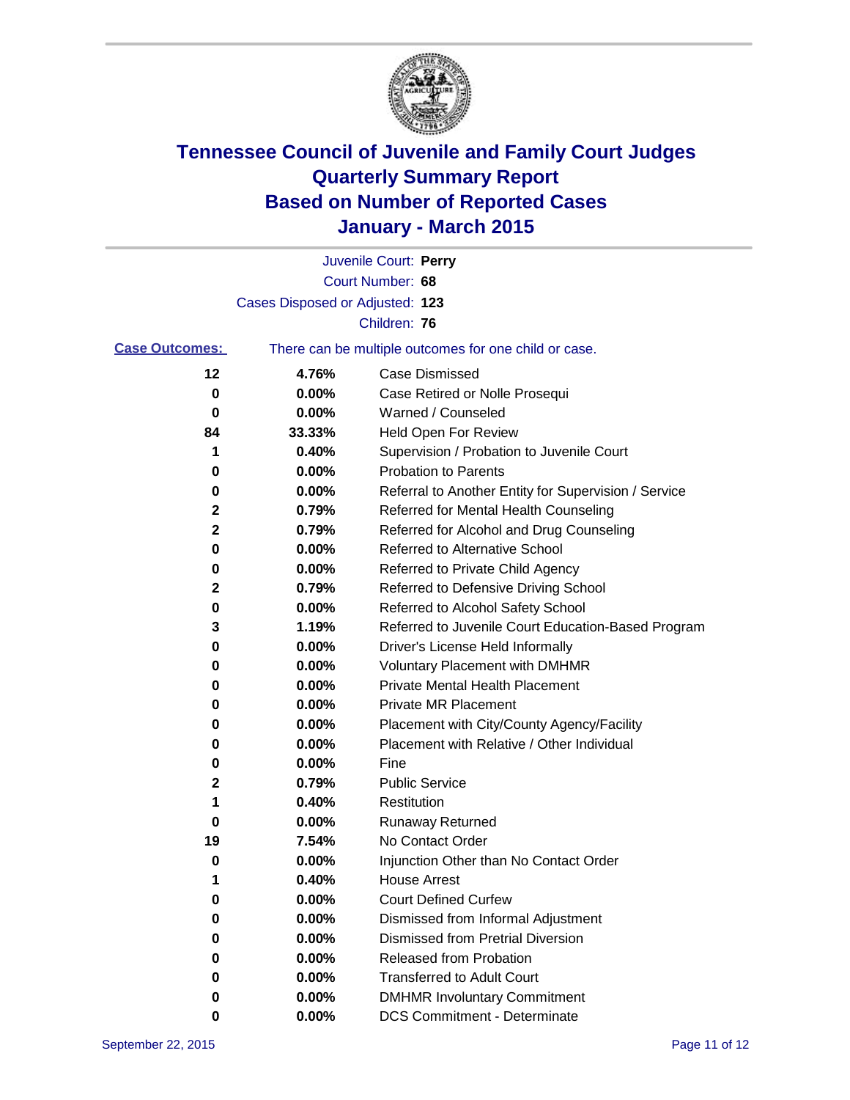

|                       |                                 | Juvenile Court: Perry                                 |
|-----------------------|---------------------------------|-------------------------------------------------------|
|                       |                                 | Court Number: 68                                      |
|                       | Cases Disposed or Adjusted: 123 |                                                       |
|                       |                                 | Children: 76                                          |
| <b>Case Outcomes:</b> |                                 | There can be multiple outcomes for one child or case. |
| 12                    | 4.76%                           | <b>Case Dismissed</b>                                 |
| 0                     | 0.00%                           | Case Retired or Nolle Prosequi                        |
| 0                     | 0.00%                           | Warned / Counseled                                    |
| 84                    | 33.33%                          | <b>Held Open For Review</b>                           |
| 1                     | 0.40%                           | Supervision / Probation to Juvenile Court             |
| 0                     | 0.00%                           | <b>Probation to Parents</b>                           |
| 0                     | 0.00%                           | Referral to Another Entity for Supervision / Service  |
| 2                     | 0.79%                           | Referred for Mental Health Counseling                 |
| 2                     | 0.79%                           | Referred for Alcohol and Drug Counseling              |
| 0                     | 0.00%                           | <b>Referred to Alternative School</b>                 |
| 0                     | 0.00%                           | Referred to Private Child Agency                      |
| 2                     | 0.79%                           | Referred to Defensive Driving School                  |
| 0                     | 0.00%                           | Referred to Alcohol Safety School                     |
| 3                     | 1.19%                           | Referred to Juvenile Court Education-Based Program    |
| 0                     | 0.00%                           | Driver's License Held Informally                      |
| 0                     | 0.00%                           | <b>Voluntary Placement with DMHMR</b>                 |
| 0                     | 0.00%                           | <b>Private Mental Health Placement</b>                |
| 0                     | 0.00%                           | <b>Private MR Placement</b>                           |
| 0                     | 0.00%                           | Placement with City/County Agency/Facility            |
| 0                     | 0.00%                           | Placement with Relative / Other Individual            |
| 0                     | 0.00%                           | Fine                                                  |
| 2                     | 0.79%                           | <b>Public Service</b>                                 |
| 1                     | 0.40%                           | Restitution                                           |
| 0                     | 0.00%                           | <b>Runaway Returned</b>                               |
| 19                    | 7.54%                           | No Contact Order                                      |
| 0                     | 0.00%                           | Injunction Other than No Contact Order                |
| 1                     | 0.40%                           | House Arrest                                          |
| 0                     | 0.00%                           | <b>Court Defined Curfew</b>                           |
| 0                     | 0.00%                           | Dismissed from Informal Adjustment                    |
| 0                     | 0.00%                           | <b>Dismissed from Pretrial Diversion</b>              |
| 0                     | 0.00%                           | Released from Probation                               |
| 0                     | 0.00%                           | <b>Transferred to Adult Court</b>                     |
| 0                     | 0.00%                           | <b>DMHMR Involuntary Commitment</b>                   |
| 0                     | 0.00%                           | <b>DCS Commitment - Determinate</b>                   |